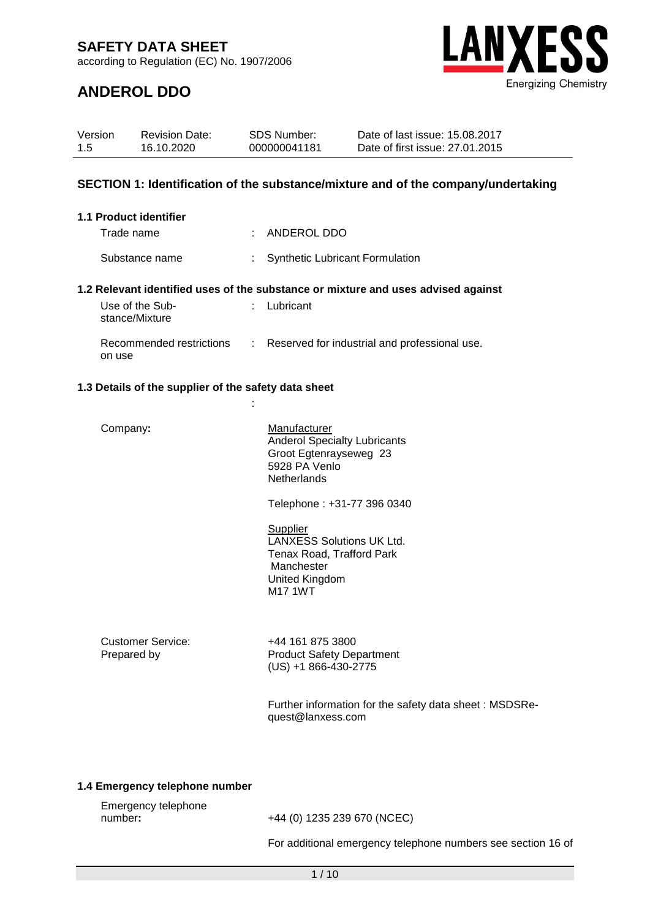according to Regulation (EC) No. 1907/2006



### **ANDEROL DDO**

| Version<br>1.5                | <b>Revision Date:</b><br>16.10.2020                                                                  | SDS Number:<br>000000041181 |                                                                                                                                           | Date of last issue: 15.08.2017<br>Date of first issue: 27.01.2015 |  |
|-------------------------------|------------------------------------------------------------------------------------------------------|-----------------------------|-------------------------------------------------------------------------------------------------------------------------------------------|-------------------------------------------------------------------|--|
|                               | SECTION 1: Identification of the substance/mixture and of the company/undertaking                    |                             |                                                                                                                                           |                                                                   |  |
| <b>1.1 Product identifier</b> |                                                                                                      |                             |                                                                                                                                           |                                                                   |  |
| Trade name                    |                                                                                                      |                             | : ANDEROL DDO                                                                                                                             |                                                                   |  |
|                               | Substance name                                                                                       | ÷                           | <b>Synthetic Lubricant Formulation</b>                                                                                                    |                                                                   |  |
| stance/Mixture                | 1.2 Relevant identified uses of the substance or mixture and uses advised against<br>Use of the Sub- | $\mathbb{R}^{\mathbb{Z}}$   | Lubricant                                                                                                                                 |                                                                   |  |
| on use                        | Recommended restrictions : Reserved for industrial and professional use.                             |                             |                                                                                                                                           |                                                                   |  |
|                               | 1.3 Details of the supplier of the safety data sheet                                                 |                             |                                                                                                                                           |                                                                   |  |
|                               |                                                                                                      |                             |                                                                                                                                           |                                                                   |  |
| Company:                      |                                                                                                      |                             | Manufacturer<br><b>Anderol Specialty Lubricants</b><br>Groot Egtenrayseweg 23<br>5928 PA Venlo<br><b>Netherlands</b>                      |                                                                   |  |
|                               |                                                                                                      |                             | Telephone: +31-77 396 0340                                                                                                                |                                                                   |  |
|                               |                                                                                                      |                             | <b>Supplier</b><br><b>LANXESS Solutions UK Ltd.</b><br>Tenax Road, Trafford Park<br>Manchester<br><b>United Kingdom</b><br><b>M17 1WT</b> |                                                                   |  |
| Prepared by                   | <b>Customer Service:</b>                                                                             |                             | +44 161 875 3800<br><b>Product Safety Department</b><br>$(US) + 1866 - 430 - 2775$                                                        |                                                                   |  |
|                               |                                                                                                      |                             | quest@lanxess.com                                                                                                                         | Further information for the safety data sheet: MSDSRe-            |  |

#### **1.4 Emergency telephone number**

| Emergency telephone |       |
|---------------------|-------|
| number:             | $+44$ |

number**:** +44 (0) 1235 239 670 (NCEC)

For additional emergency telephone numbers see section 16 of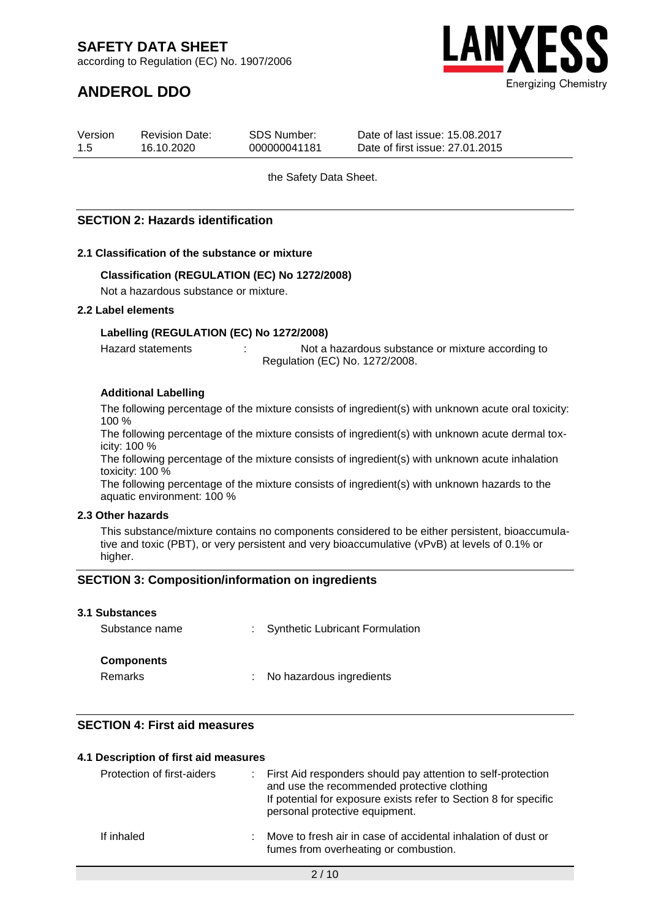according to Regulation (EC) No. 1907/2006

## **ANDEROL DDO**



| Version | <b>Revision Date:</b> | SDS Number:  | Date of last issue: 15.08.2017  |
|---------|-----------------------|--------------|---------------------------------|
| 1.5     | 16.10.2020            | 000000041181 | Date of first issue: 27.01.2015 |

the Safety Data Sheet.

#### **SECTION 2: Hazards identification**

#### **2.1 Classification of the substance or mixture**

#### **Classification (REGULATION (EC) No 1272/2008)**

Not a hazardous substance or mixture.

#### **2.2 Label elements**

#### **Labelling (REGULATION (EC) No 1272/2008)**

Hazard statements : The Statements in Not a hazardous substance or mixture according to Regulation (EC) No. 1272/2008.

#### **Additional Labelling**

The following percentage of the mixture consists of ingredient(s) with unknown acute oral toxicity: 100 %

The following percentage of the mixture consists of ingredient(s) with unknown acute dermal toxicity: 100 %

The following percentage of the mixture consists of ingredient(s) with unknown acute inhalation toxicity: 100 %

The following percentage of the mixture consists of ingredient(s) with unknown hazards to the aquatic environment: 100 %

#### **2.3 Other hazards**

This substance/mixture contains no components considered to be either persistent, bioaccumulative and toxic (PBT), or very persistent and very bioaccumulative (vPvB) at levels of 0.1% or higher.

#### **SECTION 3: Composition/information on ingredients**

#### **3.1 Substances**

| Substance name               | : Synthetic Lubricant Formulation |
|------------------------------|-----------------------------------|
| <b>Components</b><br>Remarks | : No hazardous ingredients        |
|                              |                                   |

#### **SECTION 4: First aid measures**

| 4.1 Description of first aid measures |                                                                                                                                                                                                                     |
|---------------------------------------|---------------------------------------------------------------------------------------------------------------------------------------------------------------------------------------------------------------------|
| Protection of first-aiders            | : First Aid responders should pay attention to self-protection<br>and use the recommended protective clothing<br>If potential for exposure exists refer to Section 8 for specific<br>personal protective equipment. |
| If inhaled                            | : Move to fresh air in case of accidental inhalation of dust or<br>fumes from overheating or combustion.                                                                                                            |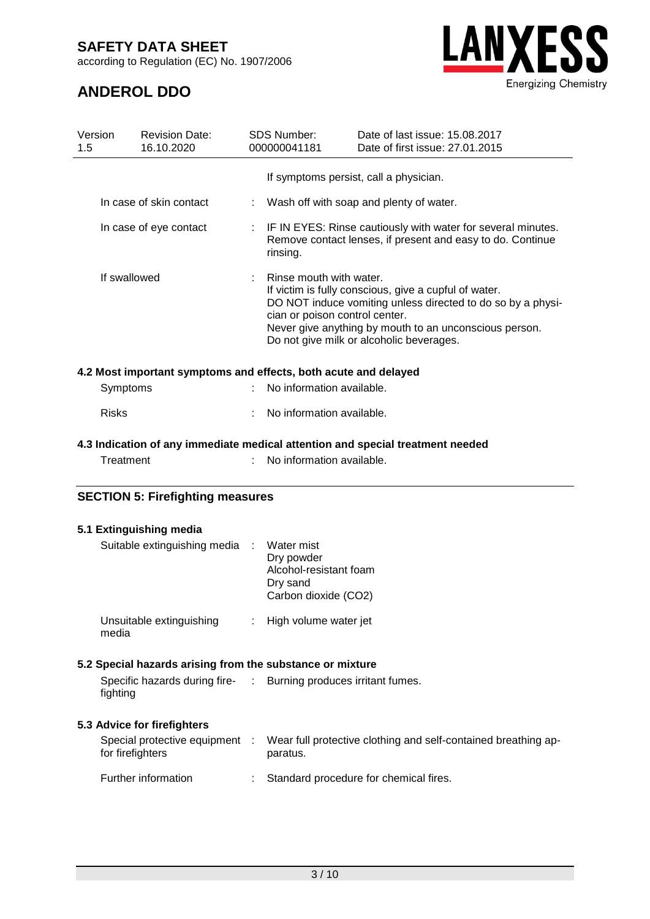according to Regulation (EC) No. 1907/2006

# **LANXESS Energizing Chemistry**

### **ANDEROL DDO**

| Version<br><b>Revision Date:</b><br>16.10.2020<br>$1.5^{\circ}$ |                         | <b>SDS Number:</b><br>000000041181 | Date of last issue: 15,08,2017<br>Date of first issue: 27.01.2015                                                                                                                                                                                            |  |
|-----------------------------------------------------------------|-------------------------|------------------------------------|--------------------------------------------------------------------------------------------------------------------------------------------------------------------------------------------------------------------------------------------------------------|--|
|                                                                 |                         |                                    | If symptoms persist, call a physician.                                                                                                                                                                                                                       |  |
|                                                                 | In case of skin contact |                                    | : Wash off with soap and plenty of water.                                                                                                                                                                                                                    |  |
|                                                                 | In case of eye contact  | rinsing.                           | : IF IN EYES: Rinse cautiously with water for several minutes.<br>Remove contact lenses, if present and easy to do. Continue                                                                                                                                 |  |
|                                                                 | If swallowed            | Rinse mouth with water.            | If victim is fully conscious, give a cupful of water.<br>DO NOT induce vomiting unless directed to do so by a physi-<br>cian or poison control center.<br>Never give anything by mouth to an unconscious person.<br>Do not give milk or alcoholic beverages. |  |
| 4.2 Most important symptoms and effects, both acute and delayed |                         |                                    |                                                                                                                                                                                                                                                              |  |
|                                                                 | Symptoms                | No information available.          |                                                                                                                                                                                                                                                              |  |
| <b>Risks</b>                                                    |                         | No information available.          |                                                                                                                                                                                                                                                              |  |

### **4.3 Indication of any immediate medical attention and special treatment needed**

| Treatment | No information available. |
|-----------|---------------------------|

#### **SECTION 5: Firefighting measures**

#### **5.1 Extinguishing media**

| Suitable extinguishing media : Water mist                 | Dry powder<br>Alcohol-resistant foam<br>Dry sand<br>Carbon dioxide (CO2)                                  |
|-----------------------------------------------------------|-----------------------------------------------------------------------------------------------------------|
| Unsuitable extinguishing<br>media                         | : High volume water jet                                                                                   |
| 5.2 Special hazards arising from the substance or mixture |                                                                                                           |
| fighting                                                  | Specific hazards during fire- : Burning produces irritant fumes.                                          |
| 5.3 Advice for firefighters                               |                                                                                                           |
| for firefighters                                          | Special protective equipment : Wear full protective clothing and self-contained breathing ap-<br>paratus. |
| Further information                                       | Standard procedure for chemical fires.                                                                    |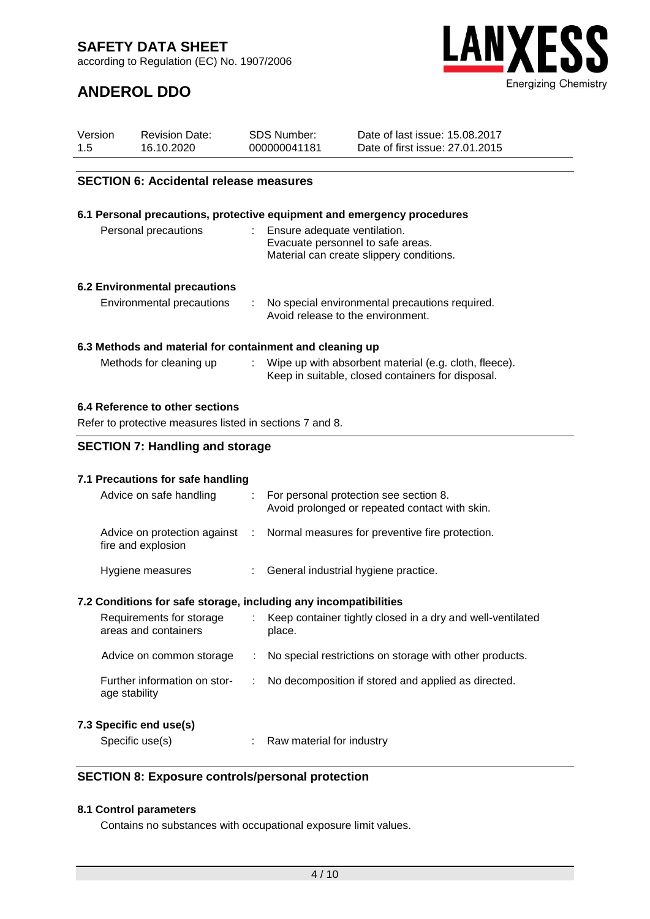according to Regulation (EC) No. 1907/2006



### **ANDEROL DDO**

| Version | <b>Revision Date:</b> | SDS Number:  | Date of last issue: 15.08.2017  |
|---------|-----------------------|--------------|---------------------------------|
| 1.5     | 16.10.2020            | 000000041181 | Date of first issue: 27.01.2015 |

#### **SECTION 6: Accidental release measures**

#### **6.1 Personal precautions, protective equipment and emergency procedures** Personal precautions : Ensure adequate ventilation. Evacuate personnel to safe areas. Material can create slippery conditions.

#### **6.2 Environmental precautions**

| Environmental precautions |  | No special environmental precautions required.<br>Avoid release to the environment. |
|---------------------------|--|-------------------------------------------------------------------------------------|
|---------------------------|--|-------------------------------------------------------------------------------------|

#### **6.3 Methods and material for containment and cleaning up**

| Methods for cleaning up |  | Wipe up with absorbent material (e.g. cloth, fleece). |
|-------------------------|--|-------------------------------------------------------|
|                         |  | Keep in suitable, closed containers for disposal.     |

#### **6.4 Reference to other sections**

Refer to protective measures listed in sections 7 and 8.

#### **SECTION 7: Handling and storage**

#### **7.1 Precautions for safe handling**

| Advice on safe handling                            |    | For personal protection see section 8.<br>Avoid prolonged or repeated contact with skin. |
|----------------------------------------------------|----|------------------------------------------------------------------------------------------|
| Advice on protection against<br>fire and explosion |    | : Normal measures for preventive fire protection.                                        |
| Hygiene measures                                   | ÷. | General industrial hygiene practice.                                                     |

#### **7.2 Conditions for safe storage, including any incompatibilities**

| Requirements for storage<br>areas and containers | Keep container tightly closed in a dry and well-ventilated<br>place. |
|--------------------------------------------------|----------------------------------------------------------------------|
| Advice on common storage                         | : No special restrictions on storage with other products.            |
| Further information on stor-<br>age stability    | : No decomposition if stored and applied as directed.                |
|                                                  |                                                                      |

#### **7.3 Specific end use(s)**

| Specific use(s) |  | Raw material for industry |
|-----------------|--|---------------------------|
|-----------------|--|---------------------------|

#### **SECTION 8: Exposure controls/personal protection**

#### **8.1 Control parameters**

Contains no substances with occupational exposure limit values.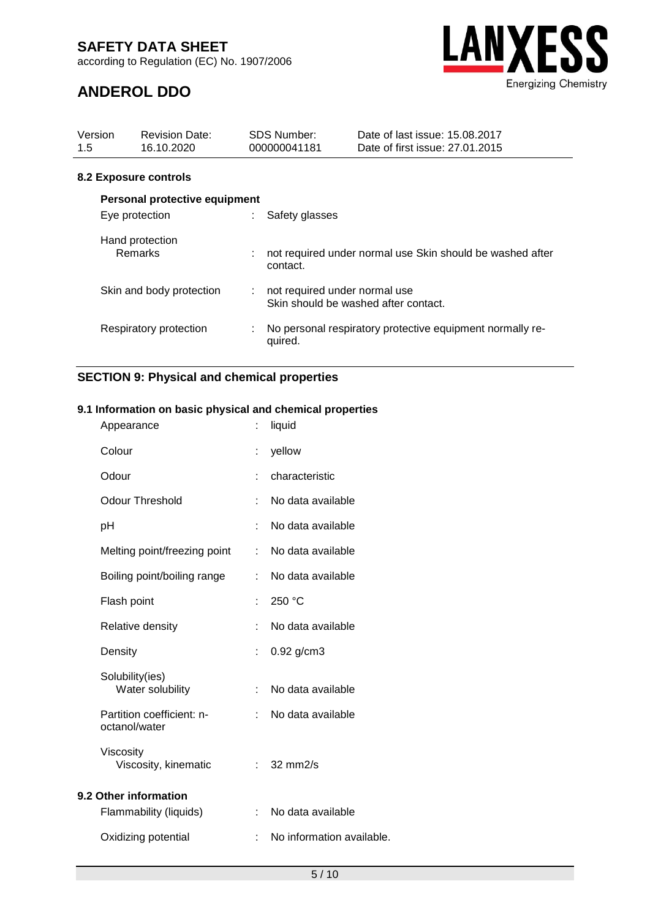according to Regulation (EC) No. 1907/2006



### **ANDEROL DDO**

| Version<br>1.5 | <b>Revision Date:</b><br>16.10.2020 |    | <b>SDS Number:</b><br>000000041181 | Date of last issue: 15.08.2017<br>Date of first issue: 27.01.2015 |
|----------------|-------------------------------------|----|------------------------------------|-------------------------------------------------------------------|
|                | 8.2 Exposure controls               |    |                                    |                                                                   |
|                | Personal protective equipment       |    |                                    |                                                                   |
|                | Eye protection                      |    | Safety glasses                     |                                                                   |
|                | Hand protection<br><b>Remarks</b>   |    | contact.                           | not required under normal use Skin should be washed after         |
|                | Skin and body protection            | t. | not required under normal use      | Skin should be washed after contact.                              |
|                | Respiratory protection              | ÷  | quired.                            | No personal respiratory protective equipment normally re-         |

#### **SECTION 9: Physical and chemical properties**

#### **9.1 Information on basic physical and chemical properties**

| Appearance                                 | t. | liquid                    |
|--------------------------------------------|----|---------------------------|
| Colour                                     | ÷. | yellow                    |
| Odour                                      |    | characteristic            |
| <b>Odour Threshold</b>                     | t. | No data available         |
| pH                                         |    | No data available         |
| Melting point/freezing point               | t. | No data available         |
| Boiling point/boiling range                | ÷  | No data available         |
| Flash point                                |    | 250 °C                    |
| Relative density                           | ÷  | No data available         |
| Density                                    | t. | $0.92$ g/cm3              |
| Solubility(ies)<br>Water solubility        | t. | No data available         |
| Partition coefficient: n-<br>octanol/water |    | No data available         |
| Viscosity<br>Viscosity, kinematic          |    | $\approx$ 32 mm2/s        |
| 9.2 Other information                      |    |                           |
| Flammability (liquids)                     | t. | No data available         |
| Oxidizing potential                        |    | No information available. |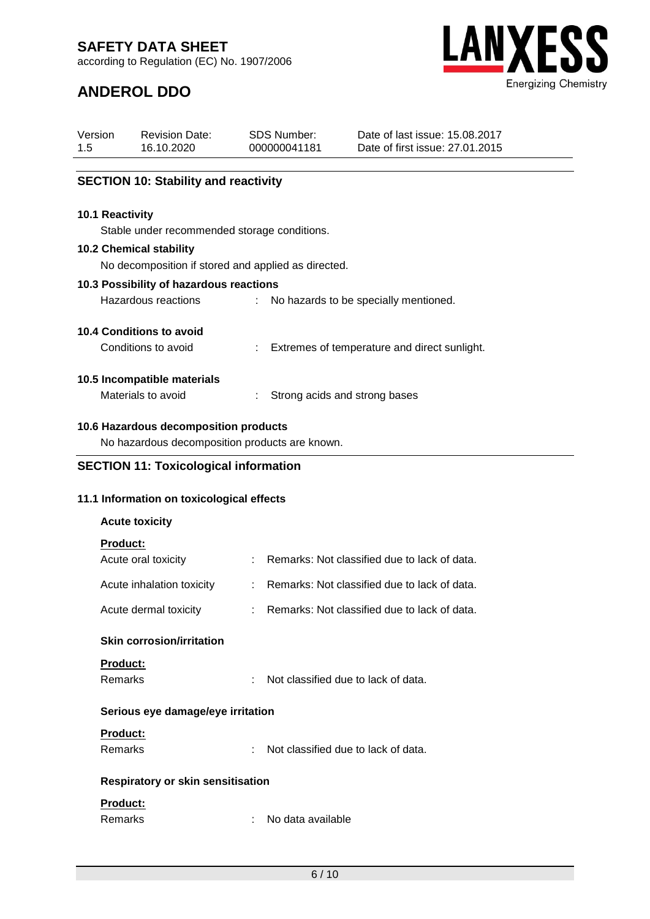according to Regulation (EC) No. 1907/2006

Revision Date:



Date of last issue: 15.08.2017

### **ANDEROL DDO**

Version

| 1.5 | 16.10.2020                                          |                           | 000000041181      | Date of first issue: 27.01.2015              |
|-----|-----------------------------------------------------|---------------------------|-------------------|----------------------------------------------|
|     |                                                     |                           |                   |                                              |
|     | <b>SECTION 10: Stability and reactivity</b>         |                           |                   |                                              |
|     | 10.1 Reactivity                                     |                           |                   |                                              |
|     | Stable under recommended storage conditions.        |                           |                   |                                              |
|     | <b>10.2 Chemical stability</b>                      |                           |                   |                                              |
|     | No decomposition if stored and applied as directed. |                           |                   |                                              |
|     | 10.3 Possibility of hazardous reactions             |                           |                   |                                              |
|     | Hazardous reactions                                 |                           |                   | No hazards to be specially mentioned.        |
|     | 10.4 Conditions to avoid                            |                           |                   |                                              |
|     | Conditions to avoid                                 |                           |                   | Extremes of temperature and direct sunlight. |
|     |                                                     |                           |                   |                                              |
|     | 10.5 Incompatible materials<br>Materials to avoid   | ÷                         |                   | Strong acids and strong bases                |
|     |                                                     |                           |                   |                                              |
|     | 10.6 Hazardous decomposition products               |                           |                   |                                              |
|     | No hazardous decomposition products are known.      |                           |                   |                                              |
|     | <b>SECTION 11: Toxicological information</b>        |                           |                   |                                              |
|     |                                                     |                           |                   |                                              |
|     | 11.1 Information on toxicological effects           |                           |                   |                                              |
|     | <b>Acute toxicity</b>                               |                           |                   |                                              |
|     | <b>Product:</b>                                     |                           |                   |                                              |
|     | Acute oral toxicity                                 |                           |                   | Remarks: Not classified due to lack of data. |
|     | Acute inhalation toxicity                           |                           |                   | Remarks: Not classified due to lack of data. |
|     | Acute dermal toxicity                               |                           |                   | Remarks: Not classified due to lack of data. |
|     |                                                     |                           |                   |                                              |
|     | <b>Skin corrosion/irritation</b>                    |                           |                   |                                              |
|     | Product:                                            |                           |                   |                                              |
|     | <b>Remarks</b>                                      |                           |                   | Not classified due to lack of data.          |
|     | Serious eye damage/eye irritation                   |                           |                   |                                              |
|     | <b>Product:</b>                                     |                           |                   |                                              |
|     | <b>Remarks</b>                                      |                           |                   | Not classified due to lack of data.          |
|     |                                                     |                           |                   |                                              |
|     | Respiratory or skin sensitisation                   |                           |                   |                                              |
|     | Product:                                            |                           |                   |                                              |
|     | Remarks                                             | $\mathbb{R}^{\mathbb{Z}}$ | No data available |                                              |

SDS Number: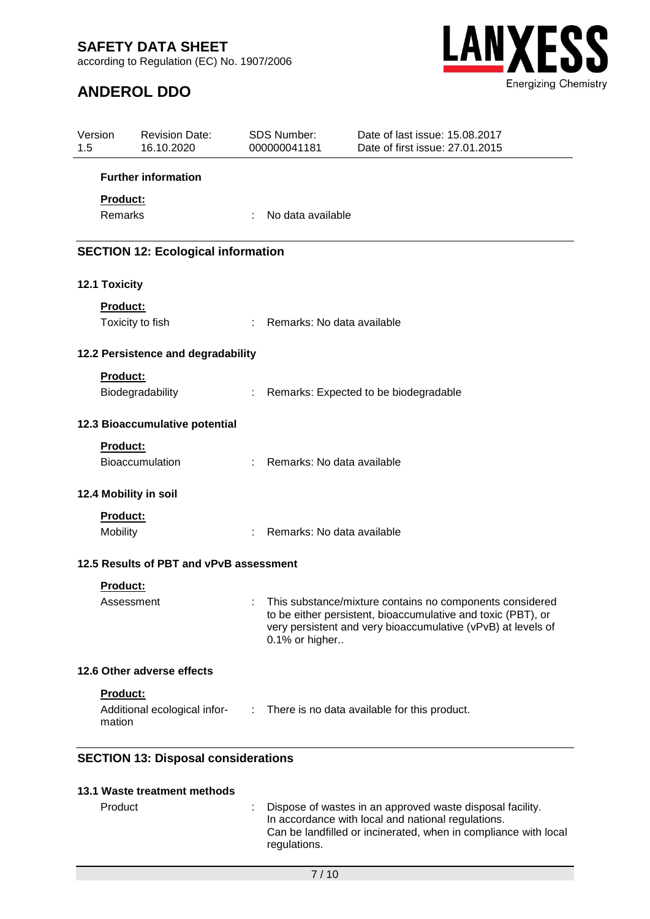according to Regulation (EC) No. 1907/2006

### **ANDEROL DDO**



| Version<br>1.5 | <b>Revision Date:</b><br>16.10.2020        |    | SDS Number:<br>000000041181  | Date of last issue: 15.08.2017<br>Date of first issue: 27.01.2015                                                                                                                        |
|----------------|--------------------------------------------|----|------------------------------|------------------------------------------------------------------------------------------------------------------------------------------------------------------------------------------|
|                | <b>Further information</b>                 |    |                              |                                                                                                                                                                                          |
|                | Product:                                   |    |                              |                                                                                                                                                                                          |
|                | Remarks                                    | ÷  | No data available            |                                                                                                                                                                                          |
|                | <b>SECTION 12: Ecological information</b>  |    |                              |                                                                                                                                                                                          |
|                | 12.1 Toxicity                              |    |                              |                                                                                                                                                                                          |
|                | Product:                                   |    |                              |                                                                                                                                                                                          |
|                | Toxicity to fish                           |    | : Remarks: No data available |                                                                                                                                                                                          |
|                | 12.2 Persistence and degradability         |    |                              |                                                                                                                                                                                          |
|                | <b>Product:</b>                            |    |                              |                                                                                                                                                                                          |
|                | Biodegradability                           | ÷. |                              | Remarks: Expected to be biodegradable                                                                                                                                                    |
|                | 12.3 Bioaccumulative potential             |    |                              |                                                                                                                                                                                          |
|                | Product:                                   |    |                              |                                                                                                                                                                                          |
|                | Bioaccumulation                            |    | : Remarks: No data available |                                                                                                                                                                                          |
|                | 12.4 Mobility in soil                      |    |                              |                                                                                                                                                                                          |
|                | Product:                                   |    |                              |                                                                                                                                                                                          |
|                | Mobility                                   | ÷. | Remarks: No data available   |                                                                                                                                                                                          |
|                | 12.5 Results of PBT and vPvB assessment    |    |                              |                                                                                                                                                                                          |
|                | Product:                                   |    |                              |                                                                                                                                                                                          |
|                | Assessment                                 |    | 0.1% or higher               | This substance/mixture contains no components considered<br>to be either persistent, bioaccumulative and toxic (PBT), or<br>very persistent and very bioaccumulative (vPvB) at levels of |
|                | 12.6 Other adverse effects                 |    |                              |                                                                                                                                                                                          |
|                | Product:                                   |    |                              |                                                                                                                                                                                          |
|                | Additional ecological infor-<br>mation     |    |                              | : There is no data available for this product.                                                                                                                                           |
|                | <b>SECTION 13: Disposal considerations</b> |    |                              |                                                                                                                                                                                          |
|                | 13.1 Waste treatment methods               |    |                              |                                                                                                                                                                                          |

Product **Example 20** Clispose of wastes in an approved waste disposal facility. In accordance with local and national regulations. Can be landfilled or incinerated, when in compliance with local regulations.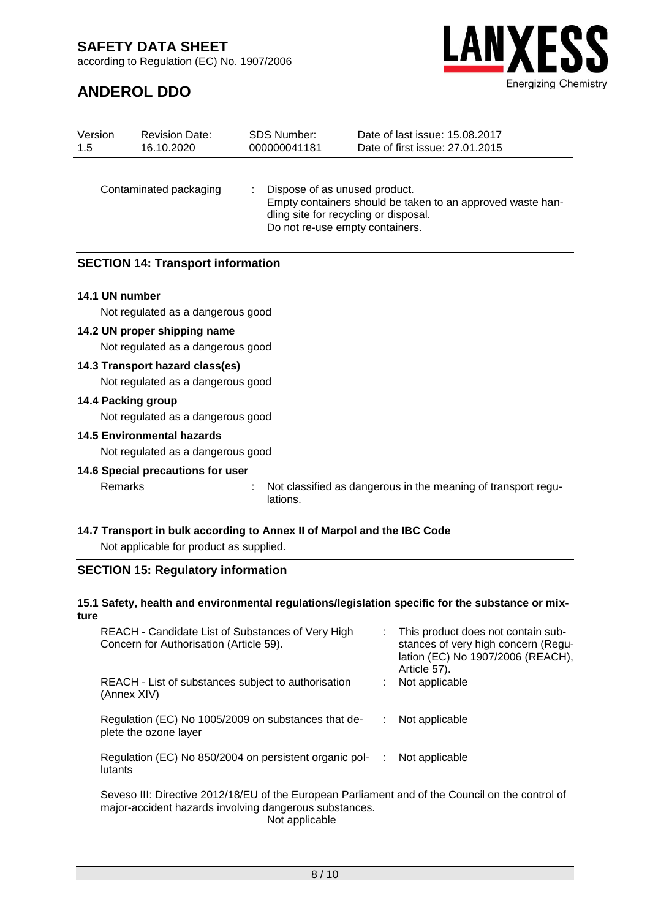**ANDEROL DDO**

according to Regulation (EC) No. 1907/2006



| Version<br>1.5 | <b>Revision Date:</b><br>16.10.2020      | <b>SDS Number:</b><br>000000041181 | Date of last issue: 15.08.2017<br>Date of first issue: 27.01.2015                                                                                                       |
|----------------|------------------------------------------|------------------------------------|-------------------------------------------------------------------------------------------------------------------------------------------------------------------------|
|                | Contaminated packaging                   |                                    | Dispose of as unused product.<br>Empty containers should be taken to an approved waste han-<br>dling site for recycling or disposal.<br>Do not re-use empty containers. |
|                | <b>SECTION 14: Transport information</b> |                                    |                                                                                                                                                                         |

#### **14.1 UN number**

Not regulated as a dangerous good

#### **14.2 UN proper shipping name**

Not regulated as a dangerous good

#### **14.3 Transport hazard class(es)**

Not regulated as a dangerous good

#### **14.4 Packing group**

Not regulated as a dangerous good

#### **14.5 Environmental hazards**

Not regulated as a dangerous good

#### **14.6 Special precautions for user**

Remarks : Not classified as dangerous in the meaning of transport regulations.

#### **14.7 Transport in bulk according to Annex II of Marpol and the IBC Code**

Not applicable for product as supplied.

#### **SECTION 15: Regulatory information**

#### **15.1 Safety, health and environmental regulations/legislation specific for the substance or mixture**

| REACH - Candidate List of Substances of Very High<br>Concern for Authorisation (Article 59).     |   | This product does not contain sub-<br>stances of very high concern (Regu-<br>lation (EC) No 1907/2006 (REACH),<br>Article 57). |
|--------------------------------------------------------------------------------------------------|---|--------------------------------------------------------------------------------------------------------------------------------|
| REACH - List of substances subject to authorisation<br>(Annex XIV)                               |   | Not applicable                                                                                                                 |
| Regulation (EC) No 1005/2009 on substances that de-<br>plete the ozone layer                     |   | Not applicable                                                                                                                 |
| Regulation (EC) No 850/2004 on persistent organic pol-<br>lutants                                | ÷ | Not applicable                                                                                                                 |
| Seveso III: Directive 2012/18/EU of the European Parliament and of the Council on the control of |   |                                                                                                                                |

arliament and of the Council on the control of major-accident hazards involving dangerous substances. Not applicable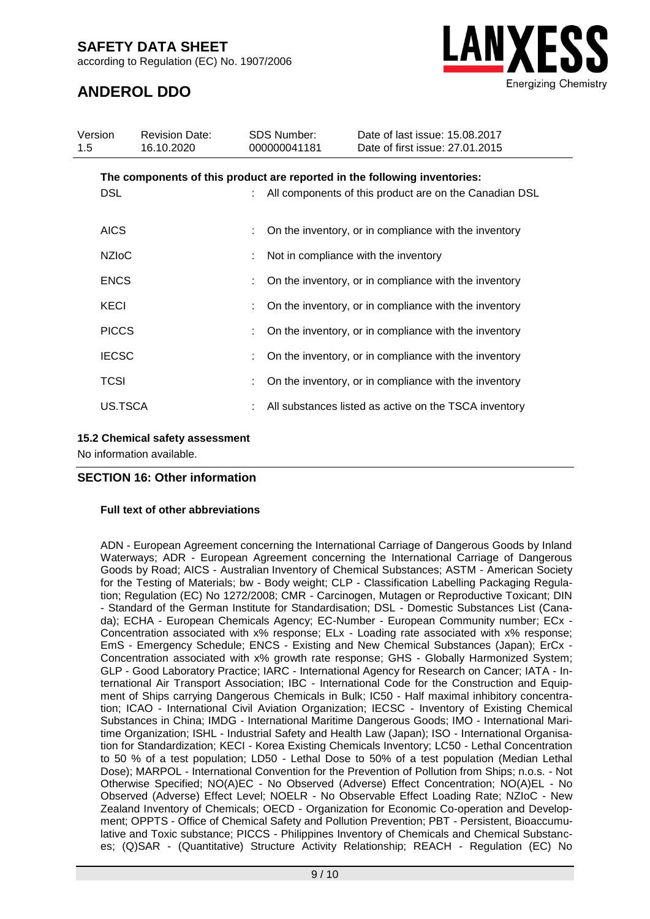according to Regulation (EC) No. 1907/2006



### **ANDEROL DDO**

| Version<br>1.5 | <b>Revision Date:</b><br>16.10.2020 | <b>SDS Number:</b><br>000000041181 | Date of last issue: 15,08,2017<br>Date of first issue: 27.01.2015         |
|----------------|-------------------------------------|------------------------------------|---------------------------------------------------------------------------|
|                |                                     |                                    | The components of this product are reported in the following inventories: |
| <b>DSL</b>     |                                     |                                    | All components of this product are on the Canadian DSL                    |
| <b>AICS</b>    |                                     |                                    | On the inventory, or in compliance with the inventory                     |
| <b>NZIOC</b>   |                                     |                                    | Not in compliance with the inventory                                      |
| <b>ENCS</b>    |                                     |                                    | On the inventory, or in compliance with the inventory                     |
| <b>KECI</b>    |                                     |                                    | On the inventory, or in compliance with the inventory                     |
| <b>PICCS</b>   |                                     |                                    | On the inventory, or in compliance with the inventory                     |
| <b>IECSC</b>   |                                     |                                    | On the inventory, or in compliance with the inventory                     |
| <b>TCSI</b>    |                                     |                                    | On the inventory, or in compliance with the inventory                     |
| US.TSCA        |                                     |                                    | All substances listed as active on the TSCA inventory                     |

#### **15.2 Chemical safety assessment**

No information available.

#### **SECTION 16: Other information**

#### **Full text of other abbreviations**

ADN - European Agreement concerning the International Carriage of Dangerous Goods by Inland Waterways; ADR - European Agreement concerning the International Carriage of Dangerous Goods by Road; AICS - Australian Inventory of Chemical Substances; ASTM - American Society for the Testing of Materials; bw - Body weight; CLP - Classification Labelling Packaging Regulation; Regulation (EC) No 1272/2008; CMR - Carcinogen, Mutagen or Reproductive Toxicant; DIN - Standard of the German Institute for Standardisation; DSL - Domestic Substances List (Canada); ECHA - European Chemicals Agency; EC-Number - European Community number; ECx -Concentration associated with x% response; ELx - Loading rate associated with x% response; EmS - Emergency Schedule; ENCS - Existing and New Chemical Substances (Japan); ErCx - Concentration associated with x% growth rate response; GHS - Globally Harmonized System; GLP - Good Laboratory Practice; IARC - International Agency for Research on Cancer; IATA - International Air Transport Association; IBC - International Code for the Construction and Equipment of Ships carrying Dangerous Chemicals in Bulk; IC50 - Half maximal inhibitory concentration; ICAO - International Civil Aviation Organization; IECSC - Inventory of Existing Chemical Substances in China; IMDG - International Maritime Dangerous Goods; IMO - International Maritime Organization; ISHL - Industrial Safety and Health Law (Japan); ISO - International Organisation for Standardization; KECI - Korea Existing Chemicals Inventory; LC50 - Lethal Concentration to 50 % of a test population; LD50 - Lethal Dose to 50% of a test population (Median Lethal Dose); MARPOL - International Convention for the Prevention of Pollution from Ships; n.o.s. - Not Otherwise Specified; NO(A)EC - No Observed (Adverse) Effect Concentration; NO(A)EL - No Observed (Adverse) Effect Level; NOELR - No Observable Effect Loading Rate; NZIoC - New Zealand Inventory of Chemicals; OECD - Organization for Economic Co-operation and Development; OPPTS - Office of Chemical Safety and Pollution Prevention; PBT - Persistent, Bioaccumulative and Toxic substance; PICCS - Philippines Inventory of Chemicals and Chemical Substances; (Q)SAR - (Quantitative) Structure Activity Relationship; REACH - Regulation (EC) No